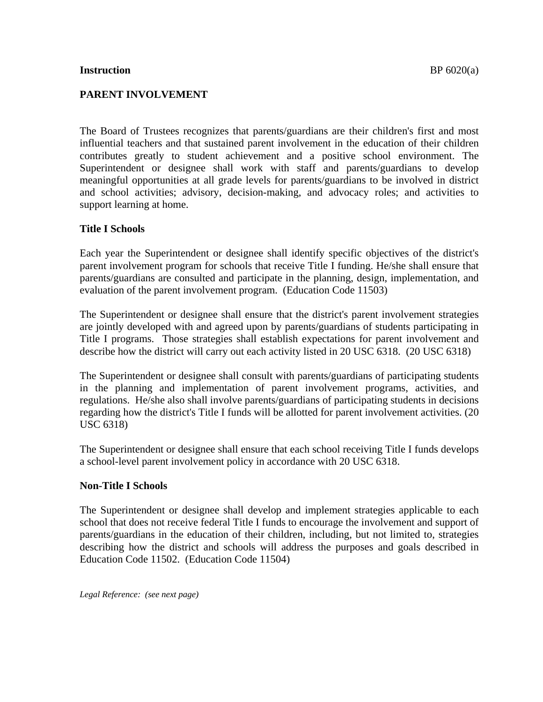#### **Instruction** BP 6020(a)

## **PARENT INVOLVEMENT**

The Board of Trustees recognizes that parents/guardians are their children's first and most influential teachers and that sustained parent involvement in the education of their children contributes greatly to student achievement and a positive school environment. The Superintendent or designee shall work with staff and parents/guardians to develop meaningful opportunities at all grade levels for parents/guardians to be involved in district and school activities; advisory, decision-making, and advocacy roles; and activities to support learning at home.

### **Title I Schools**

Each year the Superintendent or designee shall identify specific objectives of the district's parent involvement program for schools that receive Title I funding. He/she shall ensure that parents/guardians are consulted and participate in the planning, design, implementation, and evaluation of the parent involvement program. (Education Code 11503)

The Superintendent or designee shall ensure that the district's parent involvement strategies are jointly developed with and agreed upon by parents/guardians of students participating in Title I programs. Those strategies shall establish expectations for parent involvement and describe how the district will carry out each activity listed in 20 USC 6318. (20 USC 6318)

The Superintendent or designee shall consult with parents/guardians of participating students in the planning and implementation of parent involvement programs, activities, and regulations. He/she also shall involve parents/guardians of participating students in decisions regarding how the district's Title I funds will be allotted for parent involvement activities. (20 USC 6318)

The Superintendent or designee shall ensure that each school receiving Title I funds develops a school-level parent involvement policy in accordance with 20 USC 6318.

### **Non-Title I Schools**

The Superintendent or designee shall develop and implement strategies applicable to each school that does not receive federal Title I funds to encourage the involvement and support of parents/guardians in the education of their children, including, but not limited to, strategies describing how the district and schools will address the purposes and goals described in Education Code 11502. (Education Code 11504)

*Legal Reference: (see next page)*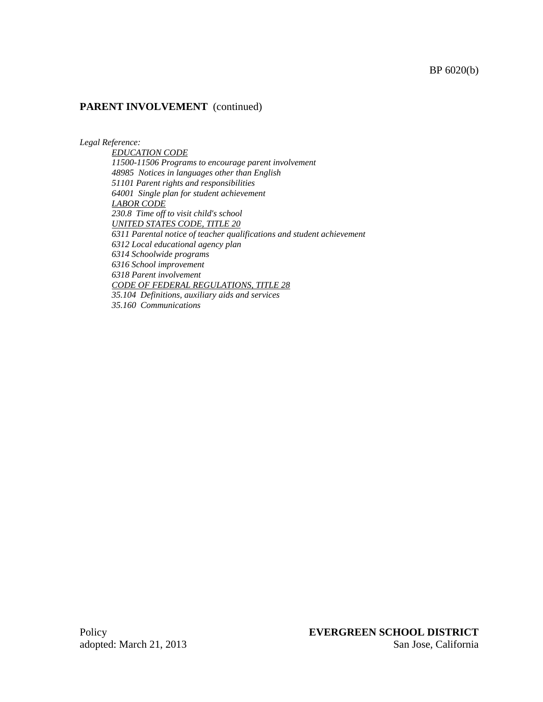#### BP 6020(b)

#### **PARENT INVOLVEMENT** (continued)

*Legal Reference:* 

*EDUCATION CODE 11500-11506 Programs to encourage parent involvement 48985 Notices in languages other than English 51101 Parent rights and responsibilities 64001 Single plan for student achievement LABOR CODE 230.8 Time off to visit child's school UNITED STATES CODE, TITLE 20 6311 Parental notice of teacher qualifications and student achievement 6312 Local educational agency plan 6314 Schoolwide programs 6316 School improvement 6318 Parent involvement CODE OF FEDERAL REGULATIONS, TITLE 28 35.104 Definitions, auxiliary aids and services 35.160 Communications*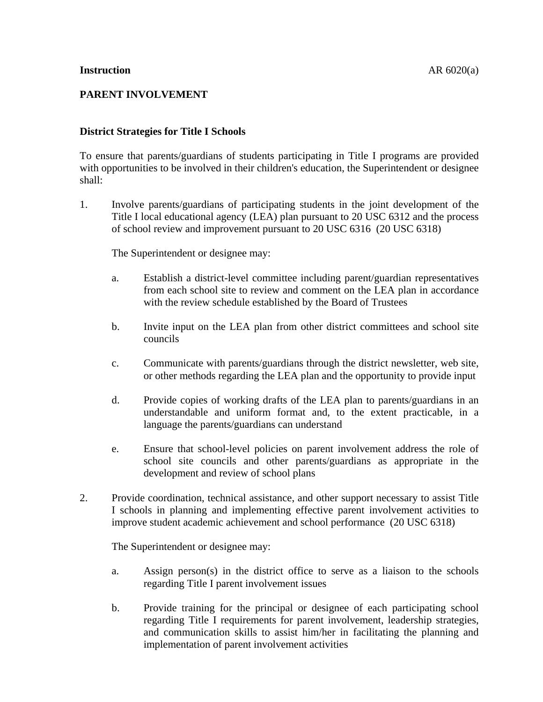# **PARENT INVOLVEMENT**

## **District Strategies for Title I Schools**

To ensure that parents/guardians of students participating in Title I programs are provided with opportunities to be involved in their children's education, the Superintendent or designee shall:

1. Involve parents/guardians of participating students in the joint development of the Title I local educational agency (LEA) plan pursuant to 20 USC 6312 and the process of school review and improvement pursuant to 20 USC 6316 (20 USC 6318)

The Superintendent or designee may:

- a. Establish a district-level committee including parent/guardian representatives from each school site to review and comment on the LEA plan in accordance with the review schedule established by the Board of Trustees
- b. Invite input on the LEA plan from other district committees and school site councils
- c. Communicate with parents/guardians through the district newsletter, web site, or other methods regarding the LEA plan and the opportunity to provide input
- d. Provide copies of working drafts of the LEA plan to parents/guardians in an understandable and uniform format and, to the extent practicable, in a language the parents/guardians can understand
- e. Ensure that school-level policies on parent involvement address the role of school site councils and other parents/guardians as appropriate in the development and review of school plans
- 2. Provide coordination, technical assistance, and other support necessary to assist Title I schools in planning and implementing effective parent involvement activities to improve student academic achievement and school performance (20 USC 6318)

The Superintendent or designee may:

- a. Assign person(s) in the district office to serve as a liaison to the schools regarding Title I parent involvement issues
- b. Provide training for the principal or designee of each participating school regarding Title I requirements for parent involvement, leadership strategies, and communication skills to assist him/her in facilitating the planning and implementation of parent involvement activities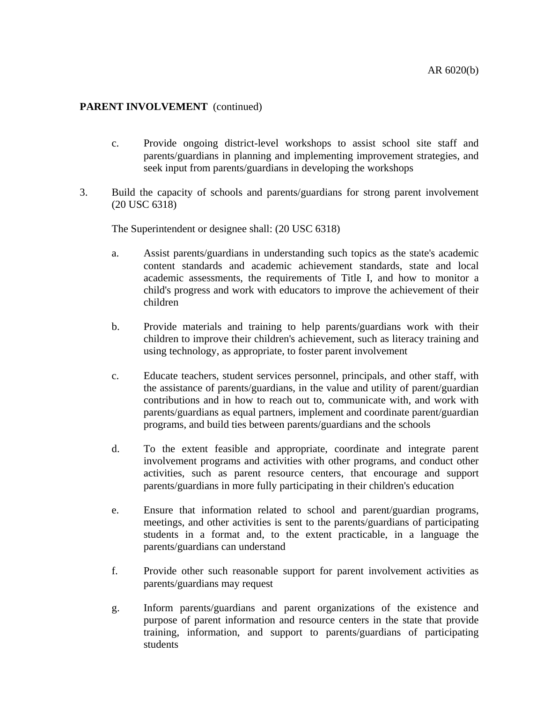- c. Provide ongoing district-level workshops to assist school site staff and parents/guardians in planning and implementing improvement strategies, and seek input from parents/guardians in developing the workshops
- 3. Build the capacity of schools and parents/guardians for strong parent involvement (20 USC 6318)

The Superintendent or designee shall: (20 USC 6318)

- a. Assist parents/guardians in understanding such topics as the state's academic content standards and academic achievement standards, state and local academic assessments, the requirements of Title I, and how to monitor a child's progress and work with educators to improve the achievement of their children
- b. Provide materials and training to help parents/guardians work with their children to improve their children's achievement, such as literacy training and using technology, as appropriate, to foster parent involvement
- c. Educate teachers, student services personnel, principals, and other staff, with the assistance of parents/guardians, in the value and utility of parent/guardian contributions and in how to reach out to, communicate with, and work with parents/guardians as equal partners, implement and coordinate parent/guardian programs, and build ties between parents/guardians and the schools
- d. To the extent feasible and appropriate, coordinate and integrate parent involvement programs and activities with other programs, and conduct other activities, such as parent resource centers, that encourage and support parents/guardians in more fully participating in their children's education
- e. Ensure that information related to school and parent/guardian programs, meetings, and other activities is sent to the parents/guardians of participating students in a format and, to the extent practicable, in a language the parents/guardians can understand
- f. Provide other such reasonable support for parent involvement activities as parents/guardians may request
- g. Inform parents/guardians and parent organizations of the existence and purpose of parent information and resource centers in the state that provide training, information, and support to parents/guardians of participating students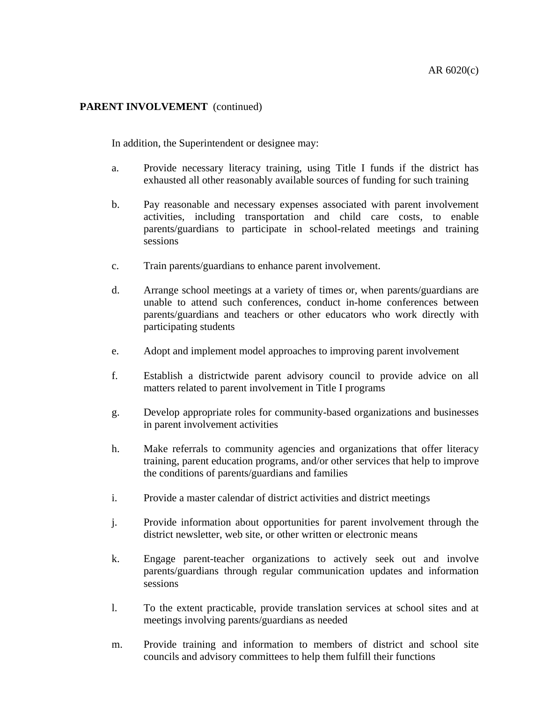In addition, the Superintendent or designee may:

- a. Provide necessary literacy training, using Title I funds if the district has exhausted all other reasonably available sources of funding for such training
- b. Pay reasonable and necessary expenses associated with parent involvement activities, including transportation and child care costs, to enable parents/guardians to participate in school-related meetings and training sessions
- c. Train parents/guardians to enhance parent involvement.
- d. Arrange school meetings at a variety of times or, when parents/guardians are unable to attend such conferences, conduct in-home conferences between parents/guardians and teachers or other educators who work directly with participating students
- e. Adopt and implement model approaches to improving parent involvement
- f. Establish a districtwide parent advisory council to provide advice on all matters related to parent involvement in Title I programs
- g. Develop appropriate roles for community-based organizations and businesses in parent involvement activities
- h. Make referrals to community agencies and organizations that offer literacy training, parent education programs, and/or other services that help to improve the conditions of parents/guardians and families
- i. Provide a master calendar of district activities and district meetings
- j. Provide information about opportunities for parent involvement through the district newsletter, web site, or other written or electronic means
- k. Engage parent-teacher organizations to actively seek out and involve parents/guardians through regular communication updates and information sessions
- l. To the extent practicable, provide translation services at school sites and at meetings involving parents/guardians as needed
- m. Provide training and information to members of district and school site councils and advisory committees to help them fulfill their functions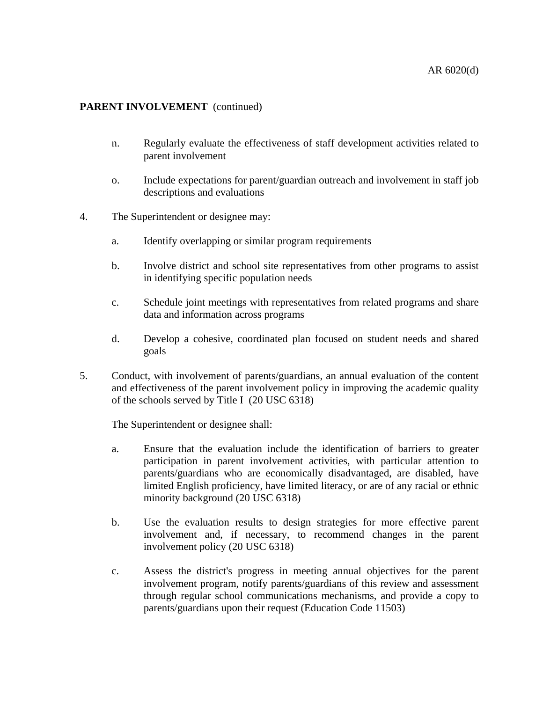- n. Regularly evaluate the effectiveness of staff development activities related to parent involvement
- o. Include expectations for parent/guardian outreach and involvement in staff job descriptions and evaluations
- 4. The Superintendent or designee may:
	- a. Identify overlapping or similar program requirements
	- b. Involve district and school site representatives from other programs to assist in identifying specific population needs
	- c. Schedule joint meetings with representatives from related programs and share data and information across programs
	- d. Develop a cohesive, coordinated plan focused on student needs and shared goals
- 5. Conduct, with involvement of parents/guardians, an annual evaluation of the content and effectiveness of the parent involvement policy in improving the academic quality of the schools served by Title I (20 USC 6318)

The Superintendent or designee shall:

- a. Ensure that the evaluation include the identification of barriers to greater participation in parent involvement activities, with particular attention to parents/guardians who are economically disadvantaged, are disabled, have limited English proficiency, have limited literacy, or are of any racial or ethnic minority background (20 USC 6318)
- b. Use the evaluation results to design strategies for more effective parent involvement and, if necessary, to recommend changes in the parent involvement policy (20 USC 6318)
- c. Assess the district's progress in meeting annual objectives for the parent involvement program, notify parents/guardians of this review and assessment through regular school communications mechanisms, and provide a copy to parents/guardians upon their request (Education Code 11503)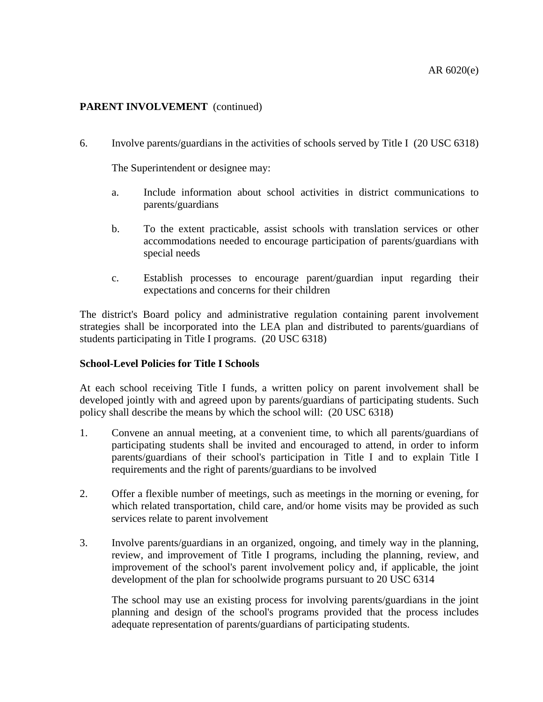6. Involve parents/guardians in the activities of schools served by Title I (20 USC 6318)

The Superintendent or designee may:

- a. Include information about school activities in district communications to parents/guardians
- b. To the extent practicable, assist schools with translation services or other accommodations needed to encourage participation of parents/guardians with special needs
- c. Establish processes to encourage parent/guardian input regarding their expectations and concerns for their children

The district's Board policy and administrative regulation containing parent involvement strategies shall be incorporated into the LEA plan and distributed to parents/guardians of students participating in Title I programs. (20 USC 6318)

### **School-Level Policies for Title I Schools**

At each school receiving Title I funds, a written policy on parent involvement shall be developed jointly with and agreed upon by parents/guardians of participating students. Such policy shall describe the means by which the school will: (20 USC 6318)

- 1. Convene an annual meeting, at a convenient time, to which all parents/guardians of participating students shall be invited and encouraged to attend, in order to inform parents/guardians of their school's participation in Title I and to explain Title I requirements and the right of parents/guardians to be involved
- 2. Offer a flexible number of meetings, such as meetings in the morning or evening, for which related transportation, child care, and/or home visits may be provided as such services relate to parent involvement
- 3. Involve parents/guardians in an organized, ongoing, and timely way in the planning, review, and improvement of Title I programs, including the planning, review, and improvement of the school's parent involvement policy and, if applicable, the joint development of the plan for schoolwide programs pursuant to 20 USC 6314

The school may use an existing process for involving parents/guardians in the joint planning and design of the school's programs provided that the process includes adequate representation of parents/guardians of participating students.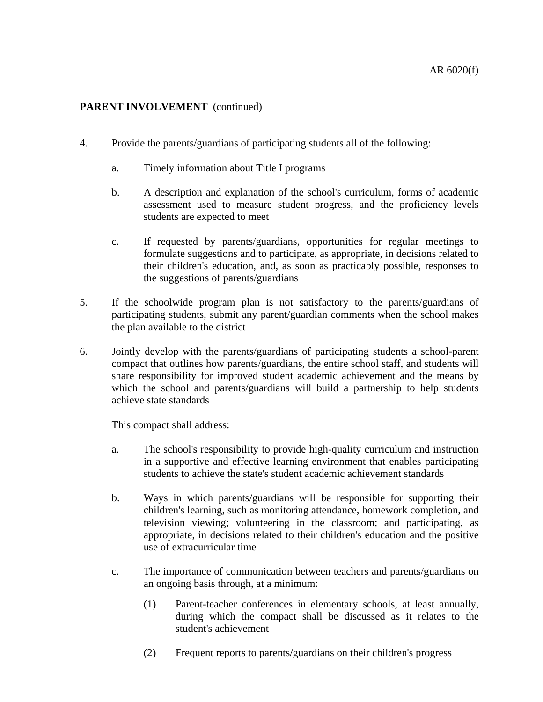- 4. Provide the parents/guardians of participating students all of the following:
	- a. Timely information about Title I programs
	- b. A description and explanation of the school's curriculum, forms of academic assessment used to measure student progress, and the proficiency levels students are expected to meet
	- c. If requested by parents/guardians, opportunities for regular meetings to formulate suggestions and to participate, as appropriate, in decisions related to their children's education, and, as soon as practicably possible, responses to the suggestions of parents/guardians
- 5. If the schoolwide program plan is not satisfactory to the parents/guardians of participating students, submit any parent/guardian comments when the school makes the plan available to the district
- 6. Jointly develop with the parents/guardians of participating students a school-parent compact that outlines how parents/guardians, the entire school staff, and students will share responsibility for improved student academic achievement and the means by which the school and parents/guardians will build a partnership to help students achieve state standards

This compact shall address:

- a. The school's responsibility to provide high-quality curriculum and instruction in a supportive and effective learning environment that enables participating students to achieve the state's student academic achievement standards
- b. Ways in which parents/guardians will be responsible for supporting their children's learning, such as monitoring attendance, homework completion, and television viewing; volunteering in the classroom; and participating, as appropriate, in decisions related to their children's education and the positive use of extracurricular time
- c. The importance of communication between teachers and parents/guardians on an ongoing basis through, at a minimum:
	- (1) Parent-teacher conferences in elementary schools, at least annually, during which the compact shall be discussed as it relates to the student's achievement
	- (2) Frequent reports to parents/guardians on their children's progress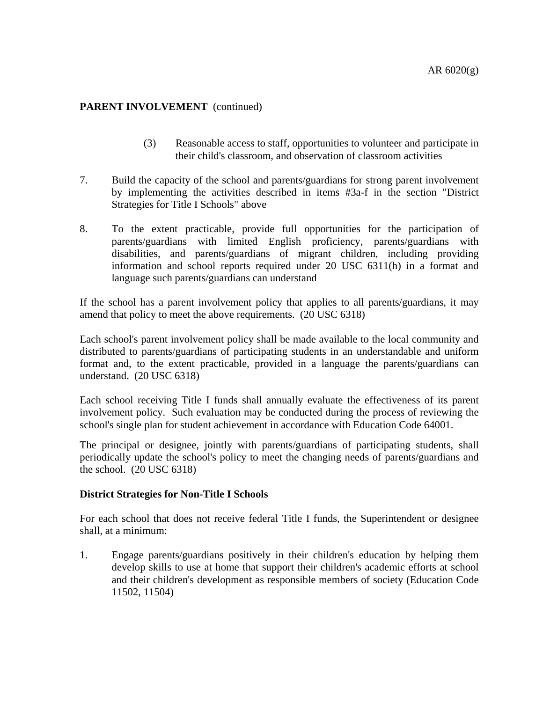- (3) Reasonable access to staff, opportunities to volunteer and participate in their child's classroom, and observation of classroom activities
- 7. Build the capacity of the school and parents/guardians for strong parent involvement by implementing the activities described in items #3a-f in the section "District Strategies for Title I Schools" above
- 8. To the extent practicable, provide full opportunities for the participation of parents/guardians with limited English proficiency, parents/guardians with disabilities, and parents/guardians of migrant children, including providing information and school reports required under 20 USC 6311(h) in a format and language such parents/guardians can understand

If the school has a parent involvement policy that applies to all parents/guardians, it may amend that policy to meet the above requirements. (20 USC 6318)

Each school's parent involvement policy shall be made available to the local community and distributed to parents/guardians of participating students in an understandable and uniform format and, to the extent practicable, provided in a language the parents/guardians can understand. (20 USC 6318)

Each school receiving Title I funds shall annually evaluate the effectiveness of its parent involvement policy. Such evaluation may be conducted during the process of reviewing the school's single plan for student achievement in accordance with Education Code 64001.

The principal or designee, jointly with parents/guardians of participating students, shall periodically update the school's policy to meet the changing needs of parents/guardians and the school. (20 USC 6318)

### **District Strategies for Non-Title I Schools**

For each school that does not receive federal Title I funds, the Superintendent or designee shall, at a minimum:

1. Engage parents/guardians positively in their children's education by helping them develop skills to use at home that support their children's academic efforts at school and their children's development as responsible members of society (Education Code 11502, 11504)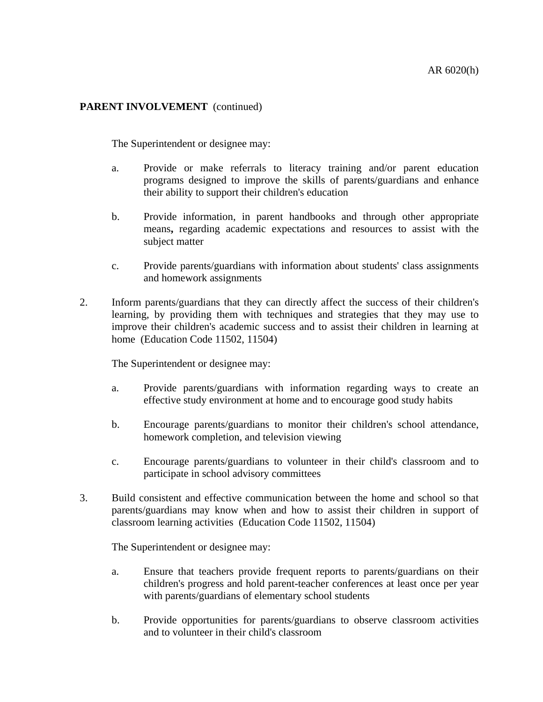The Superintendent or designee may:

- a. Provide or make referrals to literacy training and/or parent education programs designed to improve the skills of parents/guardians and enhance their ability to support their children's education
- b. Provide information, in parent handbooks and through other appropriate means**,** regarding academic expectations and resources to assist with the subject matter
- c. Provide parents/guardians with information about students' class assignments and homework assignments
- 2. Inform parents/guardians that they can directly affect the success of their children's learning, by providing them with techniques and strategies that they may use to improve their children's academic success and to assist their children in learning at home (Education Code 11502, 11504)

The Superintendent or designee may:

- a. Provide parents/guardians with information regarding ways to create an effective study environment at home and to encourage good study habits
- b. Encourage parents/guardians to monitor their children's school attendance, homework completion, and television viewing
- c. Encourage parents/guardians to volunteer in their child's classroom and to participate in school advisory committees
- 3. Build consistent and effective communication between the home and school so that parents/guardians may know when and how to assist their children in support of classroom learning activities (Education Code 11502, 11504)

The Superintendent or designee may:

- a. Ensure that teachers provide frequent reports to parents/guardians on their children's progress and hold parent-teacher conferences at least once per year with parents/guardians of elementary school students
- b. Provide opportunities for parents/guardians to observe classroom activities and to volunteer in their child's classroom